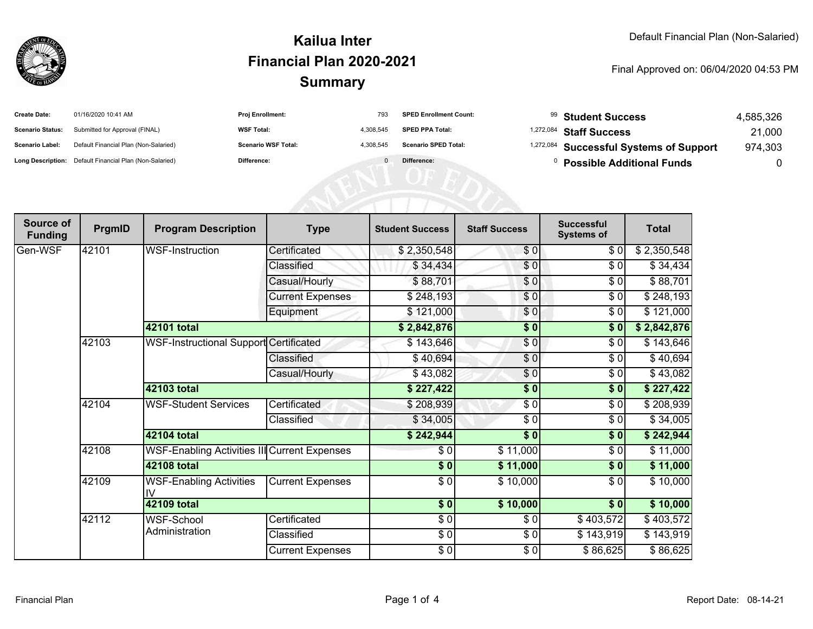

## **SummaryKailua InterFinancial Plan 2020-2021**

Final Approved on: 06/04/2020 04:53 PM

| <b>Create Date:</b>     | 01/16/2020 10:41 AM                                     | <b>Proj Enrollment:</b>    | 793       | <b>SPED Enrollment Count:</b> | <sup>99</sup> Student Success                      | 4,585,326 |
|-------------------------|---------------------------------------------------------|----------------------------|-----------|-------------------------------|----------------------------------------------------|-----------|
| <b>Scenario Status:</b> | Submitted for Approval (FINAL)                          | <b>WSF Total:</b>          | 4.308.545 | <b>SPED PPA Total:</b>        | <sup>1,272,084</sup> Staff Success                 | 21,000    |
| <b>Scenario Label:</b>  | Default Financial Plan (Non-Salaried)                   | <b>Scenario WSF Total:</b> | 4.308.545 | <b>Scenario SPED Total:</b>   | <sup>1,272,084</sup> Successful Systems of Support | 974,303   |
|                         | Long Description: Default Financial Plan (Non-Salaried) | Difference:                |           | Difference:                   | <b>Possible Additional Funds</b>                   |           |

AENI OF EQ

| Source of<br><b>Funding</b> | PrgmID | <b>Program Description</b>                   | <b>Type</b>             | <b>Student Success</b> | <b>Staff Success</b> | <b>Successful</b><br><b>Systems of</b> | <b>Total</b> |
|-----------------------------|--------|----------------------------------------------|-------------------------|------------------------|----------------------|----------------------------------------|--------------|
| Gen-WSF                     | 42101  | WSF-Instruction                              | Certificated            | \$2,350,548            | \$0                  | \$0                                    | \$2,350,548  |
|                             |        |                                              | Classified              | \$34,434               | \$0                  | \$0                                    | \$34,434     |
|                             |        |                                              | Casual/Hourly           | \$88,701               | \$0                  | \$0                                    | \$88,701     |
|                             |        |                                              | <b>Current Expenses</b> | \$248,193              | \$0                  | \$0                                    | \$248,193    |
|                             |        |                                              | Equipment               | \$121,000              | \$0                  | \$0                                    | \$121,000    |
|                             |        | 42101 total                                  |                         | \$2,842,876            | $\sqrt{6}$           | $\sqrt{6}$                             | \$2,842,876  |
|                             | 42103  | WSF-Instructional Support Certificated       |                         | \$143,646              | \$0                  | \$0                                    | \$143,646    |
|                             |        |                                              | Classified              | \$40,694               | \$0                  | \$0                                    | \$40,694     |
|                             |        |                                              | Casual/Hourly           | \$43,082               | \$0                  | \$0                                    | \$43,082     |
|                             |        | 42103 total                                  |                         | \$227,422              | $\frac{1}{6}$        | \$0                                    | \$227,422    |
|                             | 42104  | <b>WSF-Student Services</b>                  | Certificated            | \$208,939              | $\frac{3}{2}$        | \$0                                    | \$208,939    |
|                             |        |                                              | Classified              | \$34,005               | \$0                  | \$0                                    | \$34,005     |
|                             |        | 42104 total                                  |                         | \$242,944              | $\frac{1}{6}$        | \$0                                    | \$242,944    |
|                             | 42108  | WSF-Enabling Activities III Current Expenses |                         | \$0                    | \$11,000             | \$0                                    | \$11,000     |
|                             |        | 42108 total                                  |                         | \$0                    | \$11,000             | \$0                                    | \$11,000     |
|                             | 42109  | <b>WSF-Enabling Activities</b><br>IV         | <b>Current Expenses</b> | \$0                    | \$10,000             | \$0                                    | \$10,000     |
|                             |        | 42109 total                                  |                         | \$0                    | \$10,000             | \$0                                    | \$10,000     |
|                             | 42112  | WSF-School<br>Administration                 | Certificated            | $\overline{\$0}$       | \$0                  | \$403,572                              | \$403,572    |
|                             |        |                                              | Classified              | \$0                    | \$0                  | \$143,919                              | \$143,919    |
|                             |        |                                              | <b>Current Expenses</b> | $\sqrt{5}$             | \$0                  | \$86,625                               | \$86,625     |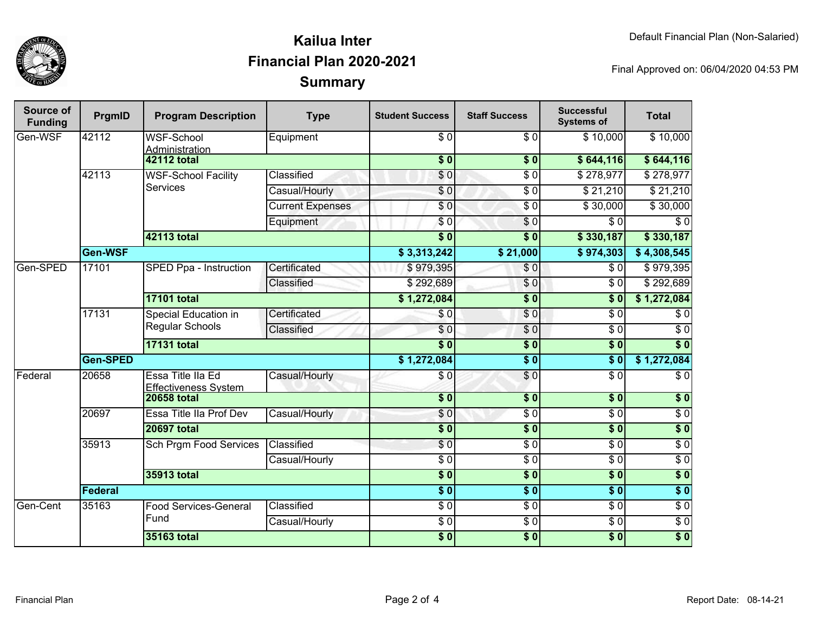

## **SummaryKailua InterFinancial Plan 2020-2021**

Final Approved on: 06/04/2020 04:53 PM

| Source of<br><b>Funding</b> | PrgmID          | <b>Program Description</b>                            | <b>Type</b>             | <b>Student Success</b>    | <b>Staff Success</b> | <b>Successful</b><br><b>Systems of</b> | <b>Total</b>     |
|-----------------------------|-----------------|-------------------------------------------------------|-------------------------|---------------------------|----------------------|----------------------------------------|------------------|
| Gen-WSF                     | 42112           | <b>WSF-School</b><br>Administration                   | Equipment               | $\overline{\$0}$          | $\overline{\$0}$     | \$10,000                               | \$10,000         |
|                             |                 | <b>42112 total</b>                                    |                         | $\overline{\$}0$          | $\overline{\$}0$     | \$644,116                              | \$644,116        |
|                             | 42113           | <b>WSF-School Facility</b><br><b>Services</b>         | Classified              | \$0                       | $\overline{\$0}$     | $\sqrt{$}278,977$                      | \$278,977        |
|                             |                 |                                                       | Casual/Hourly           | $\overline{\$0}$          | $\overline{\$0}$     | \$21,210                               | \$21,210         |
|                             |                 |                                                       | <b>Current Expenses</b> | $\overline{S}0$           | $\overline{\$0}$     | \$30,000                               | \$30,000         |
|                             |                 |                                                       | Equipment               | \$0                       | $\sqrt{6}$           | \$0                                    | $\overline{\$0}$ |
|                             |                 | <b>42113 total</b>                                    |                         | $\overline{\textbf{S}^0}$ | $\overline{\bullet}$ | \$330,187                              | \$330,187        |
|                             | Gen-WSF         |                                                       |                         | \$3,313,242               | \$21,000             | \$974,303                              | \$4,308,545      |
| Gen-SPED                    | 17101           | SPED Ppa - Instruction                                | Certificated            | \$979,395                 | $\sqrt{0}$           | $\overline{\$0}$                       | \$979,395        |
|                             |                 |                                                       | Classified              | \$292,689                 | \$0                  | $\overline{\$0}$                       | \$292,689        |
|                             |                 | <b>17101 total</b>                                    |                         | \$1,272,084               | $\overline{\$}0$     | \$0                                    | \$1,272,084      |
|                             | 17131           | <b>Special Education in</b><br><b>Regular Schools</b> | Certificated            | \$0                       | $\sqrt{6}$           | $\overline{\$0}$                       | $\overline{\$0}$ |
|                             |                 |                                                       | Classified              | \$0                       | $\sqrt{6}$           | $\overline{\$0}$                       | $\overline{\$0}$ |
|                             |                 | <b>17131 total</b>                                    |                         | $\overline{\$0}$          | $\overline{\$}0$     | $\overline{\$0}$                       | $\overline{\$0}$ |
|                             | <b>Gen-SPED</b> |                                                       |                         | \$1,272,084               | $\overline{\$0}$     | $\overline{\$0}$                       | \$1,272,084      |
| Federal                     | 20658           | Essa Title IIa Ed<br><b>Effectiveness System</b>      | Casual/Hourly           | \$0                       | \$0                  | $\overline{\$0}$                       | $\overline{\$0}$ |
|                             |                 | <b>20658 total</b>                                    |                         | $\overline{\$0}$          | $\overline{\$0}$     | \$0                                    | $\overline{\$0}$ |
|                             | 20697           | Essa Title IIa Prof Dev                               | Casual/Hourly           | \$0                       | $\sqrt{6}$           | $\sqrt{6}$                             | $\sqrt{6}$       |
|                             |                 | <b>20697 total</b>                                    |                         | $\overline{\$0}$          | $\overline{\$0}$     | \$0                                    | $\overline{\$0}$ |
|                             | 35913           | Sch Prgm Food Services                                | Classified              | $\sqrt{6}$                | $\sqrt{6}$           | $\sqrt{6}$                             | $\sqrt{6}$       |
|                             |                 |                                                       | Casual/Hourly           | $\overline{S}0$           | $\sqrt{6}$           | $\overline{S}0$                        | $\sqrt{6}$       |
|                             |                 | <b>35913 total</b>                                    |                         | \$0                       | $\sqrt{6}$           | \$0                                    | \$0              |
|                             | Federal         |                                                       |                         | $\overline{\$0}$          | $\sqrt{6}$           | \$0                                    | \$0              |
| Gen-Cent                    | 35163           | <b>Food Services-General</b>                          | Classified              | $\sqrt{6}$                | $\sqrt{6}$           | \$0                                    | $\sqrt{6}$       |
|                             |                 | Fund                                                  | Casual/Hourly           | \$0                       | $\sqrt{6}$           | $\sqrt{6}$                             | $\sqrt{6}$       |
|                             |                 | <b>35163 total</b>                                    |                         | \$0                       | $\overline{\$0}$     | \$0                                    | $\overline{\$0}$ |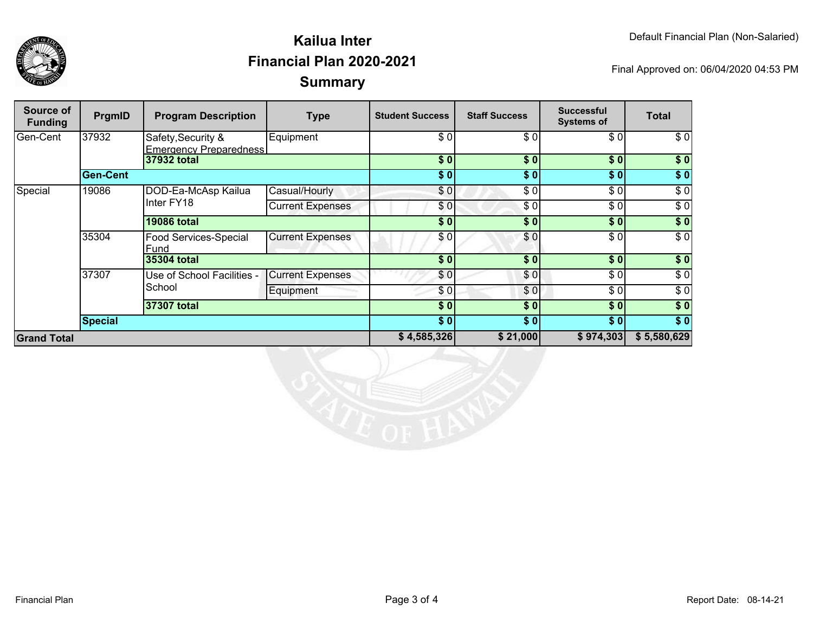



## **SummaryKailua InterFinancial Plan 2020-2021**

Final Approved on: 06/04/2020 04:53 PM

| Source of<br><b>Funding</b> | PrgmID          | <b>Program Description</b>                          | <b>Type</b>             | <b>Student Success</b> | <b>Staff Success</b> | <b>Successful</b><br><b>Systems of</b> | <b>Total</b>     |
|-----------------------------|-----------------|-----------------------------------------------------|-------------------------|------------------------|----------------------|----------------------------------------|------------------|
| Gen-Cent                    | 37932           | Safety, Security &<br><b>Emergency Preparedness</b> | Equipment               | \$ Ol                  | \$0                  | \$0                                    | \$0              |
|                             |                 | 37932 total                                         |                         | \$0                    | \$0                  | \$0                                    | \$0              |
|                             | <b>Gen-Cent</b> |                                                     |                         | \$0]                   | \$0]                 | \$0                                    | \$0              |
| Special                     | 19086           | DOD-Ea-McAsp Kailua<br>Inter FY18                   | Casual/Hourly           | \$0                    | \$0                  | \$0                                    | $\overline{\$0}$ |
|                             |                 |                                                     | <b>Current Expenses</b> | \$0]                   | \$0                  | $\overline{\$0}$                       | $\overline{\$0}$ |
|                             |                 | <b>19086 total</b>                                  |                         | \$0                    | \$0                  | \$0                                    | \$0              |
|                             | 35304           | <b>Food Services-Special</b><br>Fund                | <b>Current Expenses</b> | \$0                    | \$0                  | \$0                                    | $\overline{\$0}$ |
|                             |                 | 35304 total                                         |                         | \$0                    | \$0                  | \$0                                    | \$0              |
|                             | 37307           | Use of School Facilities -<br>School                | <b>Current Expenses</b> | \$0                    | \$0                  | \$0                                    | $\sqrt{6}$       |
|                             |                 |                                                     | Equipment               | \$0                    | \$0                  | \$0                                    | \$0              |
|                             |                 | 37307 total                                         |                         | \$0                    | \$0                  | \$0                                    | $\sqrt{6}$       |
|                             | <b>Special</b>  |                                                     |                         | \$0]                   | \$0]                 | \$0                                    | $\overline{\$0}$ |
| <b>Grand Total</b>          |                 |                                                     | \$4,585,326             | \$21,000               | \$974,303            | \$5,580,629                            |                  |